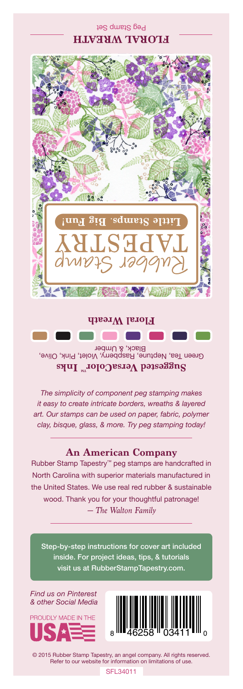## Peg Stamp Set **FLORAL WREATH**



Green Tea, Neptune, Baspberry, Violet, Pink, Olive,<br>Black, & Umber **Suggested VersaColor** Inks **Floral Wreath**

*The simplicity of component peg stamping makes it easy to create intricate borders, wreaths & layered art. Our stamps can be used on paper, fabric, polymer clay, bisque, glass, & more. Try peg stamping today!*

## **An American Company**

*— The Walton Family* Rubber Stamp Tapestry™ peg stamps are handcrafted in North Carolina with superior materials manufactured in the United States. We use real red rubber & sustainable wood. Thank you for your thoughtful patronage!

Step-by-step instructions for cover art included inside. For project ideas, tips, & tutorials visit us at RubberStampTapestry.com.

*Find us on Pinterest & other Social Media*





© 2015 Rubber Stamp Tapestry, an angel company. All rights reserved. Refer to our website for information on limitations of use.